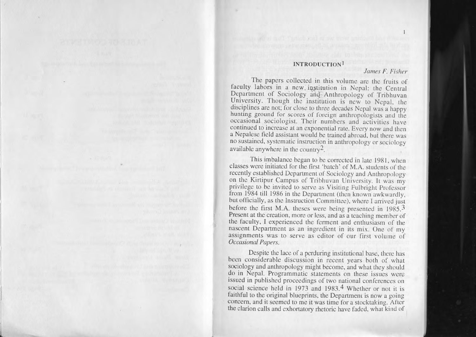## **INTRODUCTION I 1**

## *James F. Fisher lamesFisher*

The papers collected in this volume are the fruits of faculty labors in a new institution in Nepal: the Central Department of Sociology and Anthropology of Tribhuvan University. Though the institution is new to Nepal, the disciplines are not; for close to three decades Nepal was a happy hunting ground for scores of foreign anthropologists and the occasional sociologist. Their numbers and activities have continued to increase at an exponential rate. Every now and Ihen <sup>a</sup> Nepalese field assistant would be trained abroad, but there was no sustained, systematic instruction in anthropology or sociology available anywhere in the country<sup>2</sup>. Ihe papers collected in this volume are the fruits of<br>faculty labors in a new institution in Nepal: the Central<br>Department of Sociology and Anthropology of Tribhuvan hunting ground for scores of foreign anthropologists and the<br>occasional sociologist. Their numbers and activities have<br>continued to increase at an exponential rate. Every now and then<br>a Nepalese field assistant would be tr

This imbalance began to be corrected in late 1981, when This imbalance began to be corrected in late 1981, when<br>classes were initiated for the first 'batch' of M.A. students of the recently established Department of Sociology and Anthropology on the Kirtipur Campus of Tribhuvan University. II was my privilege to be invited to scrve as Visiting Fulbright Professor from 1984 till 1986 in the Department (then known awkwardly, but officially, as the Instruction Committee), where I arrived just before the first M.A. theses were being presented in  $1985$ .<sup>3</sup> Present at the creation, morc or less, and as <sup>a</sup> teaching memher of the faculty, J experienced the ferment and enthusiasm of rhe nascent Department as an ingredient in its mix. One of my assignments was to serve as editor of our first volume of *Occasional Papers. Papers.*on the Kirtipur Campus of Tribhuvan University. It was my<br>privilege to be invited to serve as Visiting Fulbright Professor<br>from 1984 till 1986 in the Department (then known awkwardly,<br>but officially, as the Instruction Com Present at the creation, more or less, and as a teaching member of<br>the faculty, I experienced the ferment and enthusiasm of the<br>nascent Department as an ingredient in its mix. One of my

Despite the lace of a perduring institutional base, there has been considerable discussion in recent years both of what sociology and anthropology might become, and what they should do in Nepal. Programmatic statements on these issues were issued in published proceedings of two national conferences on social science held in 1973 and 1983.<sup>4</sup> Whether or not it is aithful to the original blueprints, the Department is now a going concern, and it seemed to me it was time for a stocktaking. After the clarion calls and exhortatory rhetoric have faded, what kind of sociology and anthropology might become, and what they should<br>do in Nepal. Programmatic statements on these issues were<br>issued in published proceedings of two national conferences on<br>social science held in 1973 and 1983.<sup>4</sup>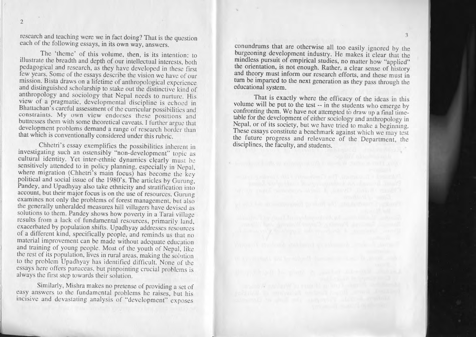2

research and teaching were we in fact doing? That is the question each of the following essays, in its own way, answers.

The 'theme' of this volume, then, is its intention: to illustrate the breadth and depth of our intellectual interests, both pedagogical and research, as they have developed in these first few years. Some of the essays describe the vision we have of our mission. Bista draws on a metune of anthropological experience and distinguished scholarship to stake out the distinctive kind of anthropology and sociology that inepal needs to nurture. His view of <sup>a</sup> pragmatic, developmental discipline is echoed in Bhattachan's careful assessment of the curricular possibilities and constraints. My own view endorses these positions and buttresses them with some theoretical caveats. I further argue that development problems demand a range of research border than that which is conventionally considered under this rubric. illustrate the breadth and depth of our intellectual interests, bedagogical and research, as they have developed in these few years. Some of the essays describe the vision we have of mission. Bista draws on a lifetime of a Bhattachan's careful assessment of the curricular possibilities and My own view endorses these position with some theoretical caveats. I further

Christian is essay exemplifies the possibilities inherent in investigating such an ostensibly "non-development" topic as cultural identity. Yet inter-ethnic dynamics clearly must be sensitively attended to in policy planning, especially in Nepal, where migration (Chhetri's main focus) has become the key political and social issue of the 1980's. The articles by Gurung, Pandey, and Upadhyay also take ethnicity and stratification into account, but their major focus is on the use of resources. Gurung examines not only the problems of forest management, hut also the generally unheralded measures hill villagers have devised as solutions to them. Pandey shows how poverty in a Tarai village esults from a fack of fundamental resources, primarily land, exacerhated by population shifts. Upadhyay addresses resources exacerbated a different kind, specifically people, and reminds us that no material improvement can be made without adequate education hat training of young people. Most of the youth of Nepal, like the rest of its population, lives in rural areas, making the solution to the prohlem Upadhyay has identified difficult. None of the essays here offers panaceas, hut pinpointing crucial prohlems is always the first step towards their solution. s conventionally considered under this rubric.<br>etri's essay exemplifies the possibilities inherent in<br>ug such an ostensibly "non-development" topic as cultural identity. Tet inter-ethnic dynamics clearly must be<br>sensitively attended to in policy planning, especially in Nepal,<br>where migration (Chhetri's main focus) has become the key<br>political and social issue of the 1980 ed are the most increased in the control of the control of the control of the control of the breaks in the volume, then is its incredion to the specific development information that the problems are the strengthenes of th

Similarly, Mishra makes no pretense of providing <sup>a</sup> set of easy answers to the fundamental prohlems he raises, hut his incisive and devastating analysis of "development" exposes

conundrums that are otherwise all too easily ignored by the burgeoning development industry. He makes it clear that the mindless pursuit of empirical studies, no matter how "applied" the orientation, is not enough. Rather, <sup>a</sup> clear sense of history and theory must inform our research efforts, and these must in tum be imparted to the next generation as they pass through the educational system.

That is exactly where the efficacy of the ideas in this volume will be pu<sup>t</sup> to the test -- in the students who emerge by confronting them. We have not attempted to draw up a final timetable for the development of either sociology and anthropology in Nepal, or of its society, but we have tried to make <sup>a</sup> beginning. These essays constitute <sup>a</sup> benchmark against which we may test the future progress and relevance of the Department, the disciplines, the faculty, and students.